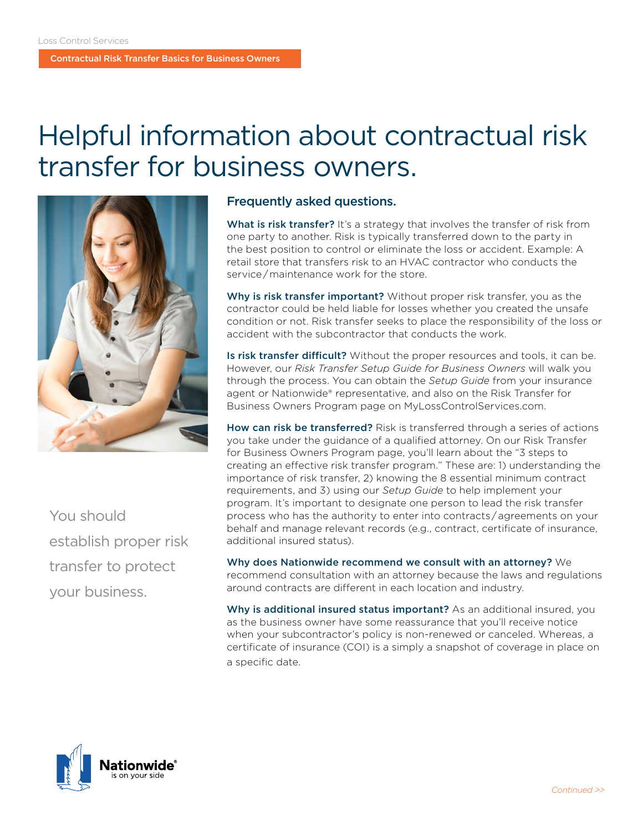# Helpful information about contractual risk transfer for business owners.



You should establish proper risk transfer to protect your business.

#### Frequently asked questions.

What is risk transfer? It's a strategy that involves the transfer of risk from one party to another. Risk is typically transferred down to the party in the best position to control or eliminate the loss or accident. Example: A retail store that transfers risk to an HVAC contractor who conducts the service / maintenance work for the store.

Why is risk transfer important? Without proper risk transfer, you as the contractor could be held liable for losses whether you created the unsafe condition or not. Risk transfer seeks to place the responsibility of the loss or accident with the subcontractor that conducts the work.

Is risk transfer difficult? Without the proper resources and tools, it can be. However, our *Risk Transfer Setup Guide for Business Owners* will walk you through the process. You can obtain the *Setup Guide* from your insurance agent or Nationwide® representative, and also on the Risk Transfer for Business Owners Program page on MyLossControlServices.com.

How can risk be transferred? Risk is transferred through a series of actions you take under the guidance of a qualified attorney. On our Risk Transfer for Business Owners Program page, you'll learn about the "3 steps to creating an effective risk transfer program." These are: 1) understanding the importance of risk transfer, 2) knowing the 8 essential minimum contract requirements, and 3) using our *Setup Guide* to help implement your program. It's important to designate one person to lead the risk transfer process who has the authority to enter into contracts / agreements on your behalf and manage relevant records (e.g., contract, certificate of insurance, additional insured status).

Why does Nationwide recommend we consult with an attorney? We recommend consultation with an attorney because the laws and regulations around contracts are different in each location and industry.

Why is additional insured status important? As an additional insured, you as the business owner have some reassurance that you'll receive notice when your subcontractor's policy is non-renewed or canceled. Whereas, a certificate of insurance (COI) is a simply a snapshot of coverage in place on a specific date.